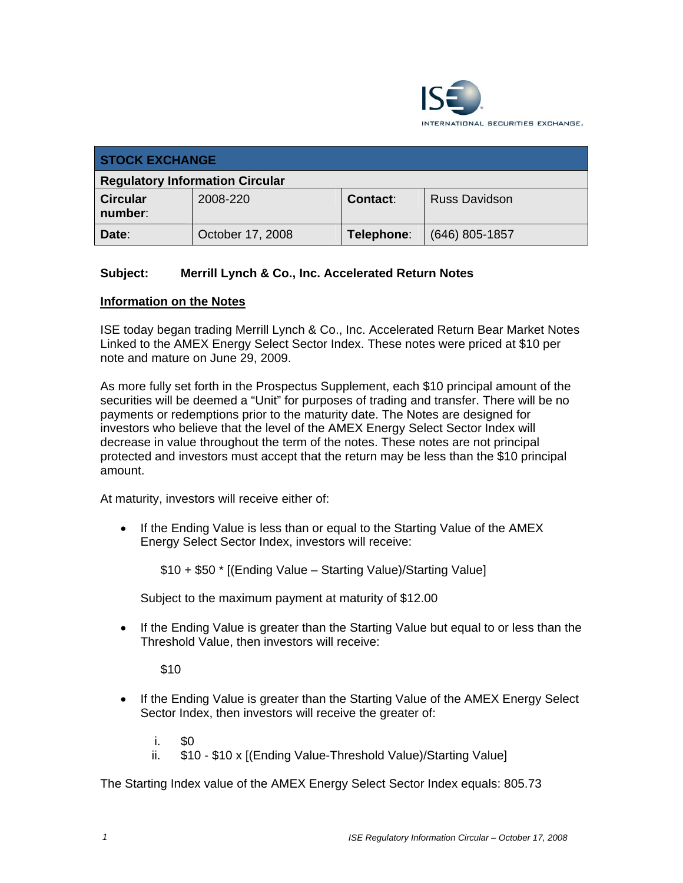

| <b>STOCK EXCHANGE</b>                  |                  |                 |                      |  |
|----------------------------------------|------------------|-----------------|----------------------|--|
| <b>Regulatory Information Circular</b> |                  |                 |                      |  |
| <b>Circular</b><br>number:             | 2008-220         | <b>Contact:</b> | <b>Russ Davidson</b> |  |
| Date:                                  | October 17, 2008 | Telephone:      | $(646)$ 805-1857     |  |

## **Subject: Merrill Lynch & Co., Inc. Accelerated Return Notes**

## **Information on the Notes**

ISE today began trading Merrill Lynch & Co., Inc. Accelerated Return Bear Market Notes Linked to the AMEX Energy Select Sector Index. These notes were priced at \$10 per note and mature on June 29, 2009.

As more fully set forth in the Prospectus Supplement, each \$10 principal amount of the securities will be deemed a "Unit" for purposes of trading and transfer. There will be no payments or redemptions prior to the maturity date. The Notes are designed for investors who believe that the level of the AMEX Energy Select Sector Index will decrease in value throughout the term of the notes. These notes are not principal protected and investors must accept that the return may be less than the \$10 principal amount.

At maturity, investors will receive either of:

• If the Ending Value is less than or equal to the Starting Value of the AMEX Energy Select Sector Index, investors will receive:

\$10 + \$50 \* [(Ending Value – Starting Value)/Starting Value]

Subject to the maximum payment at maturity of \$12.00

• If the Ending Value is greater than the Starting Value but equal to or less than the Threshold Value, then investors will receive:

\$10

- If the Ending Value is greater than the Starting Value of the AMEX Energy Select Sector Index, then investors will receive the greater of:
	- $i$ . \$0
	- ii. \$10 \$10 x [(Ending Value-Threshold Value)/Starting Value]

The Starting Index value of the AMEX Energy Select Sector Index equals: 805.73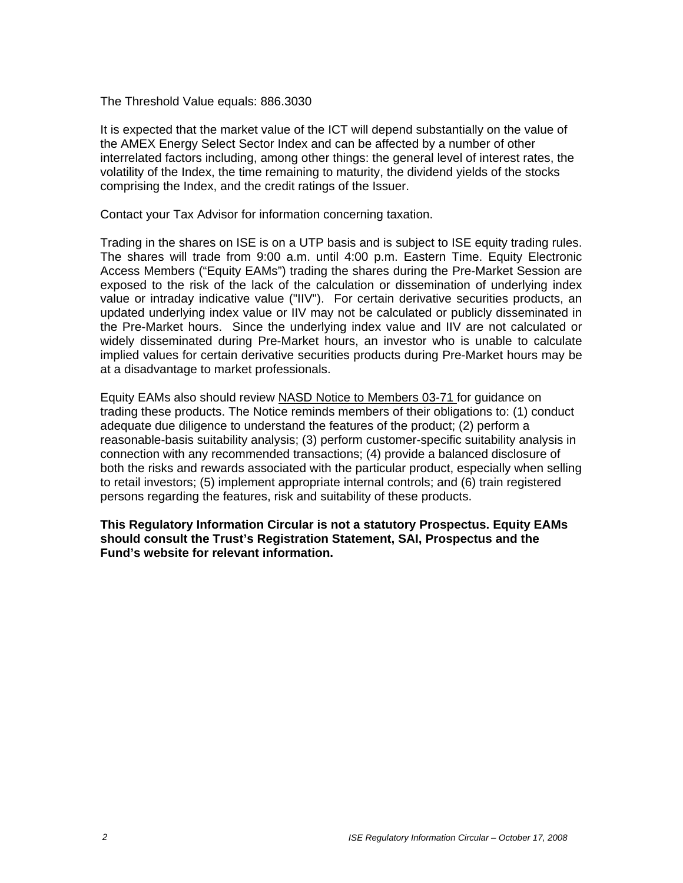The Threshold Value equals: 886.3030

It is expected that the market value of the ICT will depend substantially on the value of the AMEX Energy Select Sector Index and can be affected by a number of other interrelated factors including, among other things: the general level of interest rates, the volatility of the Index, the time remaining to maturity, the dividend yields of the stocks comprising the Index, and the credit ratings of the Issuer.

Contact your Tax Advisor for information concerning taxation.

Trading in the shares on ISE is on a UTP basis and is subject to ISE equity trading rules. The shares will trade from 9:00 a.m. until 4:00 p.m. Eastern Time. Equity Electronic Access Members ("Equity EAMs") trading the shares during the Pre-Market Session are exposed to the risk of the lack of the calculation or dissemination of underlying index value or intraday indicative value ("IIV"). For certain derivative securities products, an updated underlying index value or IIV may not be calculated or publicly disseminated in the Pre-Market hours. Since the underlying index value and IIV are not calculated or widely disseminated during Pre-Market hours, an investor who is unable to calculate implied values for certain derivative securities products during Pre-Market hours may be at a disadvantage to market professionals.

Equity EAMs also should review NASD Notice to Members 03-71 for guidance on trading these products. The Notice reminds members of their obligations to: (1) conduct adequate due diligence to understand the features of the product; (2) perform a reasonable-basis suitability analysis; (3) perform customer-specific suitability analysis in connection with any recommended transactions; (4) provide a balanced disclosure of both the risks and rewards associated with the particular product, especially when selling to retail investors; (5) implement appropriate internal controls; and (6) train registered persons regarding the features, risk and suitability of these products.

**This Regulatory Information Circular is not a statutory Prospectus. Equity EAMs should consult the Trust's Registration Statement, SAI, Prospectus and the Fund's website for relevant information.**